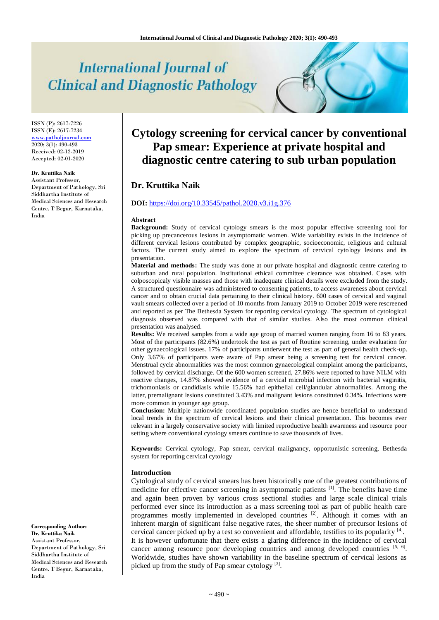# **International Journal of Clinical and Diagnostic Pathology**

ISSN (P): 2617-7226 ISSN (E): 2617-7234 [www.patholjournal.com](http://www.patholjournal.com/) 2020; 3(1): 490-493 Received: 02-12-2019 Accepted: 02-01-2020

#### **Dr. Kruttika Naik**

Assistant Professor, Department of Pathology, Sri Siddhartha Institute of Medical Sciences and Research Centre. T Begur, Karnataka, India

# **Cytology screening for cervical cancer by conventional Pap smear: Experience at private hospital and diagnostic centre catering to sub urban population**

# **Dr. Kruttika Naik**

#### **DOI:** <https://doi.org/10.33545/pathol.2020.v3.i1g.376>

#### **Abstract**

**Background:** Study of cervical cytology smears is the most popular effective screening tool for picking up precancerous lesions in asymptomatic women. Wide variability exists in the incidence of different cervical lesions contributed by complex geographic, socioeconomic, religious and cultural factors. The current study aimed to explore the spectrum of cervical cytology lesions and its presentation.

**Material and methods:** The study was done at our private hospital and diagnostic centre catering to suburban and rural population. Institutional ethical committee clearance was obtained. Cases with colposcopicaly visible masses and those with inadequate clinical details were excluded from the study. A structured questionnaire was administered to consenting patients, to access awareness about cervical cancer and to obtain crucial data pertaining to their clinical history. 600 cases of cervical and vaginal vault smears collected over a period of 10 months from January 2019 to October 2019 were rescreened and reported as per The Bethesda System for reporting cervical cytology. The spectrum of cytological diagnosis observed was compared with that of similar studies. Also the most common clinical presentation was analysed.

**Results:** We received samples from a wide age group of married women ranging from 16 to 83 years. Most of the participants (82.6%) undertook the test as part of Routine screening, under evaluation for other gynaecological issues. 17% of participants underwent the test as part of general health check-up. Only 3.67% of participants were aware of Pap smear being a screening test for cervical cancer. Menstrual cycle abnormalities was the most common gynaecological complaint among the participants, followed by cervical discharge. Of the 600 women screened, 27.86% were reported to have NILM with reactive changes, 14.87% showed evidence of a cervical microbial infection with bacterial vaginitis, trichomoniasis or candidiasis while 15.56% had epithelial cell/glandular abnormalities. Among the latter, premalignant lesions constituted 3.43% and malignant lesions constituted 0.34%. Infections were more common in younger age group.

**Conclusion:** Multiple nationwide coordinated population studies are hence beneficial to understand local trends in the spectrum of cervical lesions and their clinical presentation. This becomes ever relevant in a largely conservative society with limited reproductive health awareness and resource poor setting where conventional cytology smears continue to save thousands of lives.

**Keywords:** Cervical cytology, Pap smear, cervical malignancy, opportunistic screening, Bethesda system for reporting cervical cytology

#### **Introduction**

Cytological study of cervical smears has been historically one of the greatest contributions of medicine for effective cancer screening in asymptomatic patients <sup>[1]</sup>. The benefits have time and again been proven by various cross sectional studies and large scale clinical trials performed ever since its introduction as a mass screening tool as part of public health care programmes mostly implemented in developed countries [2]. Although it comes with an inherent margin of significant false negative rates, the sheer number of precursor lesions of cervical cancer picked up by a test so convenient and affordable, testifies to its popularity  $[4]$ . It is however unfortunate that there exists a glaring difference in the incidence of cervical cancer among resource poor developing countries and among developed countries [5, 6]. Worldwide, studies have shown variability in the baseline spectrum of cervical lesions as picked up from the study of Pap smear cytology  $[3]$ .

**Corresponding Author: Dr. Kruttika Naik** Assistant Professor, Department of Pathology, Sri Siddhartha Institute of Medical Sciences and Research Centre. T Begur, Karnataka, India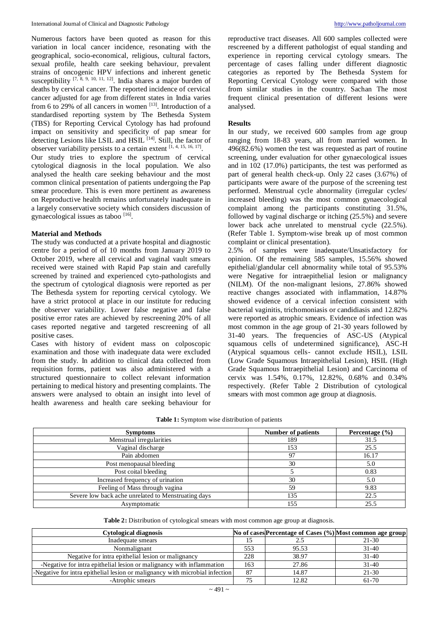Numerous factors have been quoted as reason for this variation in local cancer incidence, resonating with the geographical, socio-economical, religious, cultural factors, sexual profile, health care seeking behaviour, prevalent strains of oncogenic HPV infections and inherent genetic susceptibility  $[7, 8, 9, 10, 11, 12]$ . India shares a major burden of deaths by cervical cancer. The reported incidence of cervical cancer adjusted for age from different states in India varies from 6 to 29% of all cancers in women  $[13]$ . Introduction of a standardised reporting system by The Bethesda System (TBS) for Reporting Cervical Cytology has had profound impact on sensitivity and specificity of pap smear for detecting Lesions like LSIL and HSIL<sup>[14]</sup>. Still, the factor of observer variability persists to a certain extent  $[1, 4, 15, 16, 17]$ . Our study tries to explore the spectrum of cervical cytological diagnosis in the local population. We also analysed the health care seeking behaviour and the most common clinical presentation of patients undergoing the Pap smear procedure. This is even more pertinent as awareness on Reproductive health remains unfortunately inadequate in a largely conservative society which considers discussion of gynaecological issues as taboo [16].

# **Material and Methods**

The study was conducted at a private hospital and diagnostic centre for a period of of 10 months from January 2019 to October 2019, where all cervical and vaginal vault smears received were stained with Rapid Pap stain and carefully screened by trained and experienced cyto-pathologists and the spectrum of cytological diagnosis were reported as per The Bethesda system for reporting cervical cytology. We have a strict protocol at place in our institute for reducing the observer variability. Lower false negative and false positive error rates are achieved by rescreening 20% of all cases reported negative and targeted rescreening of all positive cases.

Cases with history of evident mass on colposcopic examination and those with inadequate data were excluded from the study. In addition to clinical data collected from requisition forms, patient was also administered with a structured questionnaire to collect relevant information pertaining to medical history and presenting complaints. The answers were analysed to obtain an insight into level of health awareness and health care seeking behaviour for reproductive tract diseases. All 600 samples collected were rescreened by a different pathologist of equal standing and experience in reporting cervical cytology smears. The percentage of cases falling under different diagnostic categories as reported by The Bethesda System for Reporting Cervical Cytology were compared with those from similar studies in the country. Sachan The most frequent clinical presentation of different lesions were analysed.

## **Results**

In our study, we received 600 samples from age group ranging from 18-83 years, all from married women. In 496(82.6%) women the test was requested as part of routine screening, under evaluation for other gynaecological issues and in 102 (17.0%) participants, the test was performed as part of general health check-up. Only 22 cases (3.67%) of participants were aware of the purpose of the screening test performed. Menstrual cycle abnormality (irregular cycles/ increased bleeding) was the most common gynaecological complaint among the participants constituting 31.5%, followed by vaginal discharge or itching (25.5%) and severe lower back ache unrelated to menstrual cycle (22.5%). (Refer Table 1. Symptom-wise break up of most common complaint or clinical presentation).

2.5% of samples were inadequate/Unsatisfactory for opinion. Of the remaining 585 samples, 15.56% showed epithelial/glandular cell abnormality while total of 95.53% were Negative for intraepithelial lesion or malignancy (NILM). Of the non-malignant lesions, 27.86% showed reactive changes associated with inflammation, 14.87% showed evidence of a cervical infection consistent with bacterial vaginitis, trichomoniasis or candidiasis and 12.82% were reported as atrophic smears. Evidence of infection was most common in the age group of 21-30 years followed by 31-40 years. The frequencies of ASC-US (Atypical squamous cells of undetermined significance), ASC-H (Atypical squamous cells- cannot exclude HSIL), LSIL (Low Grade Squamous Intraepithelial Lesion), HSIL (High Grade Squamous Intraepithelial Lesion) and Carcinoma of cervix was 1.54%, 0.17%, 12.82%, 0.68% and 0.34% respectively. (Refer Table 2 Distribution of cytological smears with most common age group at diagnosis.

| <b>Symptoms</b>                                     | <b>Number of patients</b> | Percentage $(\% )$ |
|-----------------------------------------------------|---------------------------|--------------------|
| Menstrual irregularities                            | 189                       | 31.5               |
| Vaginal discharge                                   | 153                       | 25.5               |
| Pain abdomen                                        | 97                        | 16.17              |
| Post menopausal bleeding                            | 30                        | 5.0                |
| Post coital bleeding                                |                           | 0.83               |
| Increased frequency of urination                    | 30                        | 5.0                |
| Feeling of Mass through vagina                      | 59                        | 9.83               |
| Severe low back ache unrelated to Menstruating days | 135                       | 22.5               |
| Asymptomatic                                        | 155                       | 25.5               |

**Table 1:** Symptom wise distribution of patients

**Table 2:** Distribution of cytological smears with most common age group at diagnosis.

| <b>Cytological diagnosis</b>                                                 |     |       | No of cases Percentage of Cases (%) Most common age group |
|------------------------------------------------------------------------------|-----|-------|-----------------------------------------------------------|
| Inadequate smears                                                            |     |       | $21 - 30$                                                 |
| Nonmalignant                                                                 | 553 | 95.53 | $31 - 40$                                                 |
| Negative for intra epithelial lesion or malignancy                           | 228 | 38.97 | $31 - 40$                                                 |
| -Negative for intra epithelial lesion or malignancy with inflammation        | 163 | 27.86 | $31 - 40$                                                 |
| -Negative for intra epithelial lesion or malignancy with microbial infection | 87  | 14.87 | $21 - 30$                                                 |
| -Atrophic smears                                                             |     | 12.82 | $61 - 70$                                                 |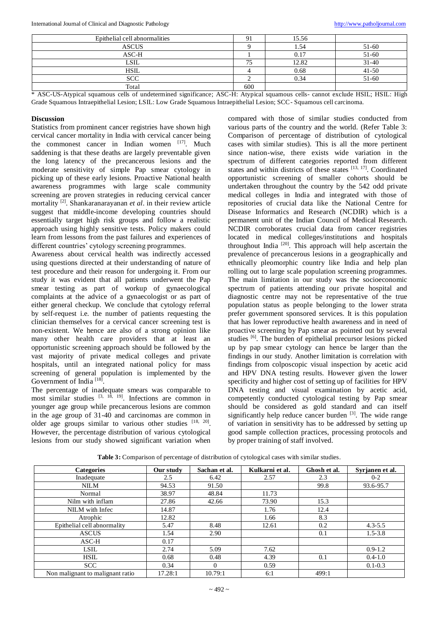| Epithelial cell abnormalities |     | 15.56 |           |
|-------------------------------|-----|-------|-----------|
| <b>ASCUS</b>                  |     | 1.54  | $51 - 60$ |
| ASC-H                         |     | 0.17  | $51 - 60$ |
| <b>LSIL</b>                   |     | 12.82 | $31 - 40$ |
| <b>HSIL</b>                   |     | 0.68  | $41 - 50$ |
| <b>SCC</b>                    |     | 0.34  | $51 - 60$ |
| Total                         | 600 |       |           |

\* ASC-US-Atypical squamous cells of undetermined significance; ASC-H: Atypical squamous cells- cannot exclude HSIL; HSIL: High Grade Squamous Intraepithelial Lesion; LSIL: Low Grade Squamous Intraepithelial Lesion; SCC- Squamous cell carcinoma.

# **Discussion**

Statistics from prominent cancer registries have shown high cervical cancer mortality in India with cervical cancer being the commonest cancer in Indian women [17]. Much saddening is that these deaths are largely preventable given the long latency of the precancerous lesions and the moderate sensitivity of simple Pap smear cytology in picking up of these early lesions. Proactive National health awareness programmes with large scale community screening are proven strategies in reducing cervical cancer mortality [2] . Shankaranarayanan *et al*. in their review article suggest that middle-income developing countries should essentially target high risk groups and follow a realistic approach using highly sensitive tests. Policy makers could learn from lessons from the past failures and experiences of different countries' cytology screening programmes.

Awareness about cervical health was indirectly accessed using questions directed at their understanding of nature of test procedure and their reason for undergoing it. From our study it was evident that all patients underwent the Pap smear testing as part of workup of gynaecological complaints at the advice of a gynaecologist or as part of either general checkup. We conclude that cytology referral by self-request i.e. the number of patients requesting the clinician themselves for a cervical cancer screening test is non-existent. We hence are also of a strong opinion like many other health care providers that at least an opportunistic screening approach should be followed by the vast majority of private medical colleges and private hospitals, until an integrated national policy for mass screening of general population is implemented by the Government of India<sup>[18]</sup>.

The percentage of inadequate smears was comparable to most similar studies <sup>[3, 18, 19]</sup>. Infections are common in younger age group while precancerous lesions are common in the age group of 31-40 and carcinomas are common in older age groups similar to various other studies  $[18, 20]$ . However, the percentage distribution of various cytological lesions from our study showed significant variation when

compared with those of similar studies conducted from various parts of the country and the world. (Refer Table 3: Comparison of percentage of distribution of cytological cases with similar studies). This is all the more pertinent since nation-wise, there exists wide variation in the spectrum of different categories reported from different states and within districts of these states [13, 17]. Coordinated opportunistic screening of smaller cohorts should be undertaken throughout the country by the 542 odd private medical colleges in India and integrated with those of repositories of crucial data like the National Centre for Disease Informatics and Research (NCDIR) which is a permanent unit of the Indian Council of Medical Research. NCDIR corroborates crucial data from cancer registries located in medical colleges/institutions and hospitals throughout India<sup>[20]</sup>. This approach will help ascertain the prevalence of precancerous lesions in a geographically and ethnically pleomorphic country like India and help plan rolling out to large scale population screening programmes. The main limitation in our study was the socioeconomic spectrum of patients attending our private hospital and diagnostic centre may not be representative of the true population status as people belonging to the lower strata prefer government sponsored services. It is this population that has lower reproductive health awareness and in need of proactive screening by Pap smear as pointed out by several studies [6]. The burden of epithelial precursor lesions picked up by pap smear cytology can hence be larger than the findings in our study. Another limitation is correlation with findings from colposcopic visual inspection by acetic acid and HPV DNA testing results. However given the lower specificity and higher cost of setting up of facilities for HPV DNA testing and visual examination by acetic acid, competently conducted cytological testing by Pap smear should be considered as gold standard and can itself significantly help reduce cancer burden  $[3]$ . The wide range of variation in sensitivity has to be addressed by setting up good sample collection practices, processing protocols and by proper training of staff involved.

| <b>Categories</b>                | Our study | Sachan et al. | Kulkarni et al. | Ghosh et al. | Syrjanen et al. |
|----------------------------------|-----------|---------------|-----------------|--------------|-----------------|
| Inadequate                       | 2.5       | 6.42          | 2.57            | 2.3          | $0 - 2$         |
| <b>NILM</b>                      | 94.53     | 91.50         |                 | 99.8         | 93.6-95.7       |
| Normal                           | 38.97     | 48.84         | 11.73           |              |                 |
| Nilm with inflam                 | 27.86     | 42.66         | 73.90           | 15.3         |                 |
| NILM with Infec                  | 14.87     |               | 1.76            | 12.4         |                 |
| Atrophic                         | 12.82     |               | 1.66            | 8.3          |                 |
| Epithelial cell abnormality      | 5.47      | 8.48          | 12.61           | 0.2          | $4.3 - 5.5$     |
| <b>ASCUS</b>                     | 1.54      | 2.90          |                 | 0.1          | $1.5 - 3.8$     |
| $ASC-H$                          | 0.17      |               |                 |              |                 |
| <b>LSIL</b>                      | 2.74      | 5.09          | 7.62            |              | $0.9 - 1.2$     |
| <b>HSIL</b>                      | 0.68      | 0.48          | 4.39            | 0.1          | $0.4 - 1.0$     |
| <b>SCC</b>                       | 0.34      | $\Omega$      | 0.59            |              | $0.1 - 0.3$     |
| Non malignant to malignant ratio | 17.28:1   | 10.79:1       | 6:1             | 499:1        |                 |

**Table 3:** Comparison of percentage of distribution of cytological cases with similar studies.